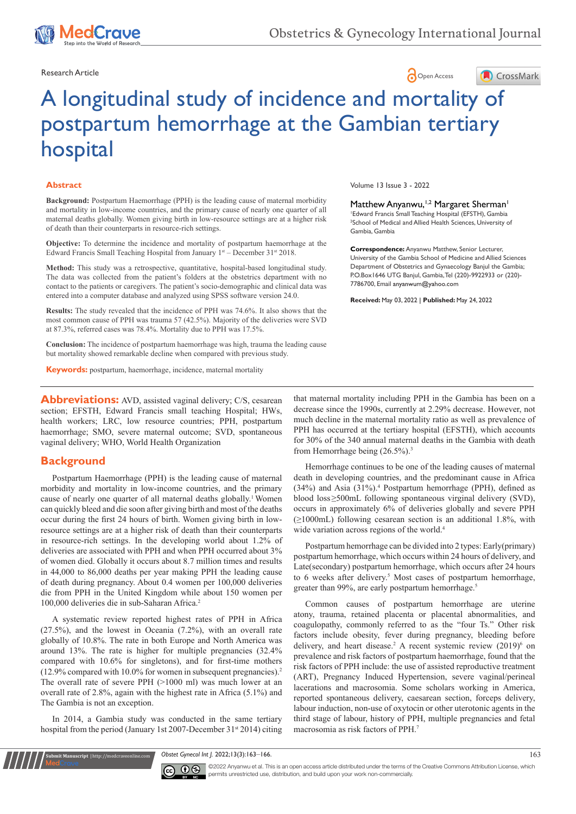

Research Article **Contract Article** Open Access **Contract Article** 



# A longitudinal study of incidence and mortality of postpartum hemorrhage at the Gambian tertiary hospital

#### **Abstract**

**Background:** Postpartum Haemorrhage (PPH) is the leading cause of maternal morbidity and mortality in low-income countries, and the primary cause of nearly one quarter of all maternal deaths globally. Women giving birth in low-resource settings are at a higher risk of death than their counterparts in resource-rich settings.

**Objective:** To determine the incidence and mortality of postpartum haemorrhage at the Edward Francis Small Teaching Hospital from January 1st - December 31st 2018.

**Method:** This study was a retrospective, quantitative, hospital-based longitudinal study. The data was collected from the patient's folders at the obstetrics department with no contact to the patients or caregivers. The patient's socio-demographic and clinical data was entered into a computer database and analyzed using SPSS software version 24.0.

**Results:** The study revealed that the incidence of PPH was 74.6%. It also shows that the most common cause of PPH was trauma 57 (42.5%). Majority of the deliveries were SVD at 87.3%, referred cases was 78.4%. Mortality due to PPH was 17.5%.

**Conclusion:** The incidence of postpartum haemorrhage was high, trauma the leading cause but mortality showed remarkable decline when compared with previous study.

**Keywords:** postpartum, haemorrhage, incidence, maternal mortality

**Abbreviations:** AVD, assisted vaginal delivery; C/S, cesarean section; EFSTH, Edward Francis small teaching Hospital; HWs, health workers; LRC, low resource countries; PPH, postpartum haemorrhage; SMO, severe maternal outcome; SVD, spontaneous vaginal delivery; WHO, World Health Organization

### **Background**

Postpartum Haemorrhage (PPH) is the leading cause of maternal morbidity and mortality in low-income countries, and the primary cause of nearly one quarter of all maternal deaths globally.<sup>1</sup> Women can quickly bleed and die soon after giving birth and most of the deaths occur during the first 24 hours of birth. Women giving birth in lowresource settings are at a higher risk of death than their counterparts in resource-rich settings. In the [developing world](https://en.wikipedia.org/wiki/Developing_world) about 1.2% of deliveries are associated with PPH and when PPH occurred about 3% of women died. Globally it occurs about 8.7 million times and results in 44,000 to 86,000 deaths per year making PPH the leading cause of death during pregnancy. About 0.4 women per 100,000 deliveries die from PPH in the United Kingdom while about 150 women per 100,000 deliveries die in [sub-Saharan Africa](https://en.wikipedia.org/wiki/Sub-Saharan_Africa). 2

A systematic review reported highest rates of PPH in Africa (27.5%), and the lowest in Oceania (7.2%), with an overall rate globally of 10.8%. The rate in both Europe and North America was around 13%. The rate is higher for multiple pregnancies (32.4% compared with 10.6% for singletons), and for first-time mothers  $(12.9\%$  compared with 10.0% for women in subsequent pregnancies).<sup>2</sup> The overall rate of severe PPH (>1000 ml) was much lower at an overall rate of 2.8%, again with the highest rate in Africa (5.1%) and The Gambia is not an exception.

In 2014, a Gambia study was conducted in the same tertiary hospital from the period (January 1st 2007-December 31<sup>st</sup> 2014) citing

**it Manuscript** | http://medcraveonline.c

Volume 13 Issue 3 - 2022

Matthew Anyanwu,<sup>1,2</sup> Margaret Sherman<sup>1</sup>

1 Edward Francis Small Teaching Hospital (EFSTH), Gambia 2 School of Medical and Allied Health Sciences, University of Gambia, Gambia

**Correspondence:** Anyanwu Matthew, Senior Lecturer, University of the Gambia School of Medicine and Allied Sciences Department of Obstetrics and Gynaecology Banjul the Gambia; P.O.Box1646 UTG Banjul, Gambia, Tel (220)-9922933 or (220)- 7786700, Email anyanwum@yahoo.com

**Received:** May 03, 2022 | **Published:** May 24, 2022

that maternal mortality including PPH in the Gambia has been on a decrease since the 1990s, currently at 2.29% decrease. However, not much decline in the maternal mortality ratio as well as prevalence of PPH has occurred at the tertiary hospital (EFSTH), which accounts for 30% of the 340 annual maternal deaths in the Gambia with death from Hemorrhage being (26.5%).<sup>3</sup>

Hemorrhage continues to be one of the leading causes of maternal death in developing countries, and the predominant cause in Africa (34%) and Asia (31%).4 Postpartum hemorrhage (PPH), defined as blood loss≥500mL following spontaneous virginal delivery (SVD), occurs in approximately 6% of deliveries globally and severe PPH (≥1000mL) following cesarean section is an additional 1.8%, with wide variation across regions of the world.<sup>4</sup>

Postpartum hemorrhage can be divided into 2 types: Early(primary) postpartum hemorrhage, which occurs within 24 hours of delivery, and Late(secondary) postpartum hemorrhage, which occurs after 24 hours to 6 weeks after delivery.<sup>5</sup> Most cases of postpartum hemorrhage, greater than 99%, are early postpartum hemorrhage.<sup>5</sup>

Common causes of postpartum hemorrhage are [uterine](https://en.wikipedia.org/wiki/Uterine_atony)  [atony](https://en.wikipedia.org/wiki/Uterine_atony), [trauma,](https://en.wikipedia.org/wiki/Physical_trauma) retained [placenta](https://en.wikipedia.org/wiki/Placenta) or [placental abnormalities,](https://en.wikipedia.org/wiki/Placenta_accreta) and [coagulopathy,](https://en.wikipedia.org/wiki/Coagulopathy) commonly referred to as the "four Ts." Other risk factors include [obesity](https://en.wikipedia.org/wiki/Obesity), fever during pregnancy, bleeding before delivery, and heart disease.<sup>2</sup> A recent systemic review (2019)<sup>6</sup> on prevalence and risk factors of postpartum haemorrhage, found that the risk factors of PPH include: the use of assisted reproductive treatment (ART), Pregnancy Induced Hypertension, severe vaginal/perineal lacerations and macrosomia. Some scholars working in America, reported spontaneous delivery, caesarean section, forceps delivery, labour induction, non-use of oxytocin or other uterotonic agents in the third stage of labour, history of PPH, multiple pregnancies and fetal macrosomia as risk factors of PPH.7

*Obstet Gynecol Int 1.* 2022;13(3):163–166. 163–166. 163–169. 163–169. 163–169. 163–169. 163–169. 163–169. 163–169. 163–169. 163–169. 163–169. 163–169. 163–169. 163–169. 163–169. 163–169. 163–169. 163–169. 163–169. 163–169



©2022 Anyanwu et al. This is an open access article distributed under the terms of the Creative Commons Attribution License, which permits unrestricted use, distribution, and build upon your work non-commercially.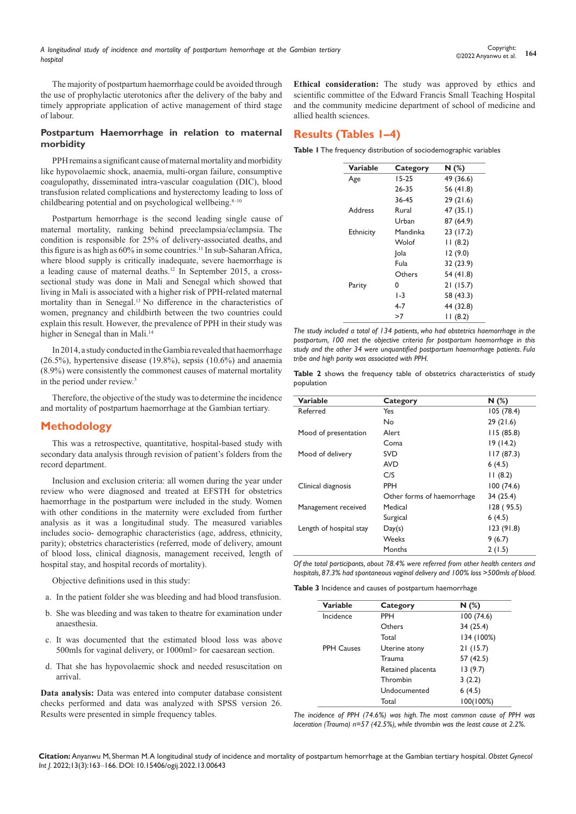The majority of postpartum haemorrhage could be avoided through the use of prophylactic uterotonics after the delivery of the baby and timely appropriate application of active management of third stage of labour.

#### **Postpartum Haemorrhage in relation to maternal morbidity**

PPH remains a significant cause of maternal mortality and morbidity like hypovolaemic shock, anaemia, multi-organ failure, consumptive coagulopathy, disseminated intra-vascular coagulation (DIC), blood transfusion related complications and hysterectomy leading to loss of childbearing potential and on psychological wellbeing.<sup>8-10</sup>

Postpartum hemorrhage is the second leading single cause of maternal mortality, ranking behind preeclampsia/eclampsia. The condition is responsible for 25% of delivery-associated deaths, and this figure is as high as  $60\%$  in some countries.<sup>11</sup> In sub-Saharan Africa, where blood supply is critically inadequate, severe haemorrhage is a leading cause of maternal deaths.12 In September 2015, a crosssectional study was done in Mali and Senegal which showed that living in Mali is associated with a higher risk of PPH-related maternal mortality than in Senegal.13 No difference in the characteristics of women, pregnancy and childbirth between the two countries could explain this result. However, the prevalence of PPH in their study was higher in Senegal than in Mali.<sup>14</sup>

In 2014, a study conducted in the Gambia revealed that haemorrhage (26.5%), hypertensive disease (19.8%), sepsis (10.6%) and anaemia (8.9%) were consistently the commonest causes of maternal mortality in the period under review.3

Therefore, the objective of the study was to determine the incidence and mortality of postpartum haemorrhage at the Gambian tertiary.

# **Methodology**

This was a retrospective, quantitative, hospital-based study with secondary data analysis through revision of patient's folders from the record department.

Inclusion and exclusion criteria: all women during the year under review who were diagnosed and treated at EFSTH for obstetrics haemorrhage in the postpartum were included in the study. Women with other conditions in the maternity were excluded from further analysis as it was a longitudinal study. The measured variables includes socio- demographic characteristics (age, address, ethnicity, parity); obstetrics characteristics (referred, mode of delivery, amount of blood loss, clinical diagnosis, management received, length of hospital stay, and hospital records of mortality).

Objective definitions used in this study:

- a. In the patient folder she was bleeding and had blood transfusion.
- b. She was bleeding and was taken to theatre for examination under anaesthesia.
- c. It was documented that the estimated blood loss was above 500mls for vaginal delivery, or 1000ml> for caesarean section.
- d. That she has hypovolaemic shock and needed resuscitation on arrival.

**Data analysis:** Data was entered into computer database consistent checks performed and data was analyzed with SPSS version 26. Results were presented in simple frequency tables.

**Ethical consideration:** The study was approved by ethics and scientific committee of the Edward Francis Small Teaching Hospital and the community medicine department of school of medicine and allied health sciences.

# **Results (Tables 1–4)**

**Table 1** The frequency distribution of sociodemographic variables

| Variable         | Category  | N(%)      |
|------------------|-----------|-----------|
| Age              | $15 - 25$ | 49 (36.6) |
|                  | 26-35     | 56 (41.8) |
|                  | 36-45     | 29(21.6)  |
| Address          | Rural     | 47 (35.1) |
|                  | Urban     | 87 (64.9) |
| <b>Ethnicity</b> | Mandinka  | 23 (17.2) |
|                  | Wolof     | 11(8.2)   |
|                  | Jola      | 12(9.0)   |
|                  | Fula      | 32 (23.9) |
|                  | Others    | 54 (41.8) |
| Parity           | 0         | 21(15.7)  |
|                  | $1-3$     | 58 (43.3) |
|                  | 4-7       | 44 (32.8) |
|                  | >7        | 11(8.2)   |

*The study included a total of 134 patients, who had obstetrics haemorrhage in the postpartum, 100 met the objective criteria for postpartum haemorrhage in this study and the other 34 were unquantified postpartum haemorrhage patients. Fula tribe and high parity was associated with PPH.*

**Table 2** shows the frequency table of obstetrics characteristics of study population

| Variable                | Category                   | N(%)       |
|-------------------------|----------------------------|------------|
| Referred                | Yes                        | 105(78.4)  |
|                         | No                         | 29(21.6)   |
| Mood of presentation    | Alert                      | 115(85.8)  |
|                         | Coma                       | 19(14.2)   |
| Mood of delivery        | <b>SVD</b>                 | 117(87.3)  |
|                         | <b>AVD</b>                 | 6(4.5)     |
|                         | C/S                        | 11(8.2)    |
| Clinical diagnosis      | <b>PPH</b>                 | 100(74.6)  |
|                         | Other forms of haemorrhage | 34 (25.4)  |
| Management received     | Medical                    | 128 (95.5) |
|                         | Surgical                   | 6(4.5)     |
| Length of hospital stay | Day(s)                     | 123(91.8)  |
|                         | Weeks                      | 9(6.7)     |
|                         | Months                     | 2(1.5)     |

*Of the total participants, about 78.4% were referred from other health centers and hospitals, 87.3% had spontaneous vaginal delivery and 100% loss >500mls of blood.*

**Table 3** Incidence and causes of postpartum haemorrhage

| <b>Variable</b>   | Category          | N(%)       |
|-------------------|-------------------|------------|
| Incidence         | PPH               | 100(74.6)  |
|                   | Others            | 34 (25.4)  |
|                   | Total             | 134 (100%) |
| <b>PPH Causes</b> | Uterine atony     | 21(15.7)   |
|                   | Trauma            | 57 (42.5)  |
|                   | Retained placenta | 13(9.7)    |
|                   | Thrombin          | 3(2.2)     |
|                   | Undocumented      | 6(4.5)     |
|                   | Total             | 100(100%)  |

*The incidence of PPH (74.6%) was high. The most common cause of PPH was laceration (Trauma) n=57 (42.5%), while thrombin was the least cause at 2.2*%.

**Citation:** Anyanwu M, Sherman M. A longitudinal study of incidence and mortality of postpartum hemorrhage at the Gambian tertiary hospital. *Obstet Gynecol Int J.* 2022;13(3):163‒166. DOI: [10.15406/ogij.2022.13.00643](https://doi.org/10.15406/ogij.2022.13.00643)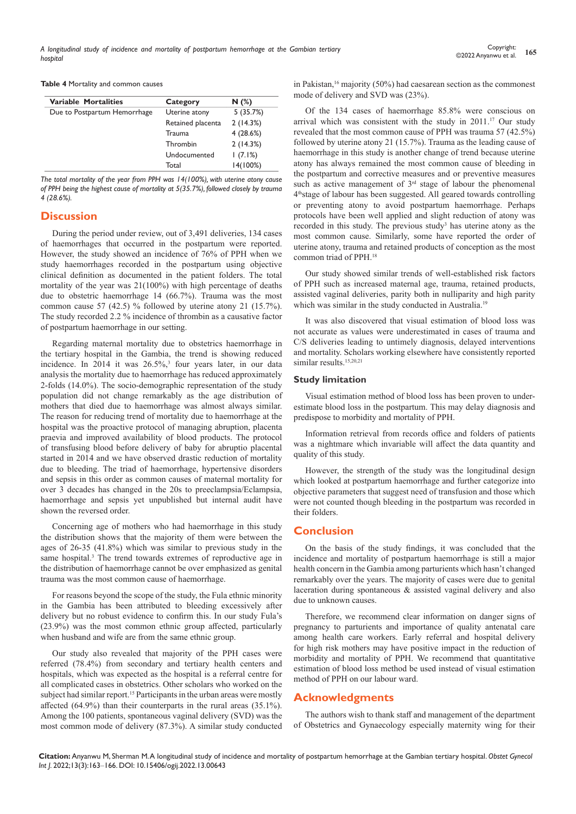**Table 4** Mortality and common causes

| Variable Mortalities         | Category          | N(%)     |
|------------------------------|-------------------|----------|
| Due to Postpartum Hemorrhage | Uterine atony     | 5(35.7%) |
|                              | Retained placenta | 2(14.3%) |
|                              | Trauma            | 4(28.6%) |
|                              | Thrombin          | 2(14.3%) |
|                              | Undocumented      | (7.1%)   |
|                              | Total             | 14(100%) |

*The total mortality of the year from PPH was 14(100%), with uterine atony cause of PPH being the highest cause of mortality at 5(35.7%), followed closely by trauma 4 (28.6%).*

### **Discussion**

During the period under review, out of 3,491 deliveries, 134 cases of haemorrhages that occurred in the postpartum were reported. However, the study showed an incidence of 76% of PPH when we study haemorrhages recorded in the postpartum using objective clinical definition as documented in the patient folders. The total mortality of the year was 21(100%) with high percentage of deaths due to obstetric haemorrhage 14 (66.7%). Trauma was the most common cause 57 (42.5) % followed by uterine atony 21 (15.7%). The study recorded 2.2 % incidence of thrombin as a causative factor of postpartum haemorrhage in our setting.

Regarding maternal mortality due to obstetrics haemorrhage in the tertiary hospital in the Gambia, the trend is showing reduced incidence. In  $2014$  it was  $26.5\%$ ,<sup>3</sup> four years later, in our data analysis the mortality due to haemorrhage has reduced approximately 2-folds (14.0%). The socio-demographic representation of the study population did not change remarkably as the age distribution of mothers that died due to haemorrhage was almost always similar. The reason for reducing trend of mortality due to haemorrhage at the hospital was the proactive protocol of managing abruption, placenta praevia and improved availability of blood products. The protocol of transfusing blood before delivery of baby for abruptio placental started in 2014 and we have observed drastic reduction of mortality due to bleeding. The triad of haemorrhage, hypertensive disorders and sepsis in this order as common causes of maternal mortality for over 3 decades has changed in the 20s to preeclampsia/Eclampsia, haemorrhage and sepsis yet unpublished but internal audit have shown the reversed order.

Concerning age of mothers who had haemorrhage in this study the distribution shows that the majority of them were between the ages of 26-35 (41.8%) which was similar to previous study in the same hospital.<sup>3</sup> The trend towards extremes of reproductive age in the distribution of haemorrhage cannot be over emphasized as genital trauma was the most common cause of haemorrhage.

For reasons beyond the scope of the study, the Fula ethnic minority in the Gambia has been attributed to bleeding excessively after delivery but no robust evidence to confirm this. In our study Fula's (23.9%) was the most common ethnic group affected, particularly when husband and wife are from the same ethnic group.

Our study also revealed that majority of the PPH cases were referred (78.4%) from secondary and tertiary health centers and hospitals, which was expected as the hospital is a referral centre for all complicated cases in obstetrics. Other scholars who worked on the subject had similar report.<sup>15</sup> Participants in the urban areas were mostly affected (64.9%) than their counterparts in the rural areas (35.1%). Among the 100 patients, spontaneous vaginal delivery (SVD) was the most common mode of delivery (87.3%). A similar study conducted

in Pakistan,  $16$  majority (50%) had caesarean section as the commonest mode of delivery and SVD was (23%).

Of the 134 cases of haemorrhage 85.8% were conscious on arrival which was consistent with the study in 2011.<sup>17</sup> Our study revealed that the most common cause of PPH was trauma 57 (42.5%) followed by uterine atony 21 (15.7%). Trauma as the leading cause of haemorrhage in this study is another change of trend because uterine atony has always remained the most common cause of bleeding in the postpartum and corrective measures and or preventive measures such as active management of  $3<sup>rd</sup>$  stage of labour the phenomenal 4thstage of labour has been suggested. All geared towards controlling or preventing atony to avoid postpartum haemorrhage. Perhaps protocols have been well applied and slight reduction of atony was recorded in this study. The previous study<sup>3</sup> has uterine atony as the most common cause. Similarly, some have reported the order of uterine atony, trauma and retained products of conception as the most common triad of PPH.18

Our study showed similar trends of well-established risk factors of PPH such as increased maternal age, trauma, retained products, assisted vaginal deliveries, parity both in nulliparity and high parity which was similar in the study conducted in Australia.<sup>19</sup>

It was also discovered that visual estimation of blood loss was not accurate as values were underestimated in cases of trauma and C/S deliveries leading to untimely diagnosis, delayed interventions and mortality. Scholars working elsewhere have consistently reported similar results.<sup>15,20,21</sup>

#### **Study limitation**

Visual estimation method of blood loss has been proven to underestimate blood loss in the postpartum. This may delay diagnosis and predispose to morbidity and mortality of PPH.

Information retrieval from records office and folders of patients was a nightmare which invariable will affect the data quantity and quality of this study.

However, the strength of the study was the longitudinal design which looked at postpartum haemorrhage and further categorize into objective parameters that suggest need of transfusion and those which were not counted though bleeding in the postpartum was recorded in their folders.

# **Conclusion**

On the basis of the study findings, it was concluded that the incidence and mortality of postpartum haemorrhage is still a major health concern in the Gambia among parturients which hasn't changed remarkably over the years. The majority of cases were due to genital laceration during spontaneous & assisted vaginal delivery and also due to unknown causes.

Therefore, we recommend clear information on danger signs of pregnancy to parturients and importance of quality antenatal care among health care workers. Early referral and hospital delivery for high risk mothers may have positive impact in the reduction of morbidity and mortality of PPH. We recommend that quantitative estimation of blood loss method be used instead of visual estimation method of PPH on our labour ward.

### **Acknowledgments**

The authors wish to thank staff and management of the department of Obstetrics and Gynaecology especially maternity wing for their

**Citation:** Anyanwu M, Sherman M. A longitudinal study of incidence and mortality of postpartum hemorrhage at the Gambian tertiary hospital. *Obstet Gynecol Int J.* 2022;13(3):163‒166. DOI: [10.15406/ogij.2022.13.00643](https://doi.org/10.15406/ogij.2022.13.00643)